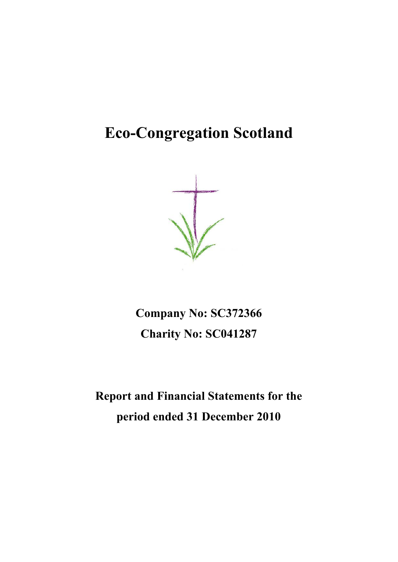**Company No: SC372366 Charity No: SC041287**

**Report and Financial Statements for the period ended 31 December 2010**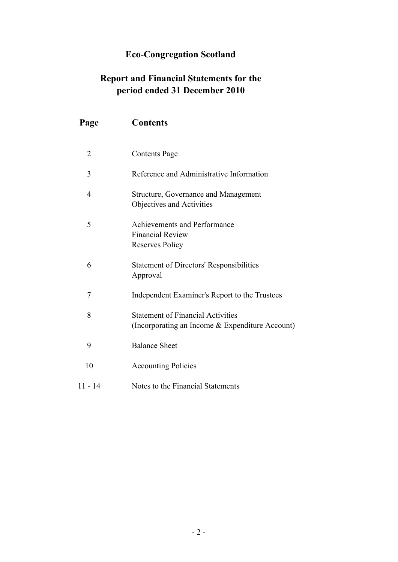### **Report and Financial Statements for the period ended 31 December 2010**

| Page           | <b>Contents</b>                                                                             |
|----------------|---------------------------------------------------------------------------------------------|
| $\overline{2}$ | <b>Contents Page</b>                                                                        |
| 3              | Reference and Administrative Information                                                    |
| $\overline{4}$ | <b>Structure, Governance and Management</b><br>Objectives and Activities                    |
| 5              | Achievements and Performance<br><b>Financial Review</b><br>Reserves Policy                  |
| 6              | <b>Statement of Directors' Responsibilities</b><br>Approval                                 |
| 7              | Independent Examiner's Report to the Trustees                                               |
| 8              | <b>Statement of Financial Activities</b><br>(Incorporating an Income & Expenditure Account) |
| 9              | <b>Balance Sheet</b>                                                                        |
| 10             | <b>Accounting Policies</b>                                                                  |
| $11 - 14$      | Notes to the Financial Statements                                                           |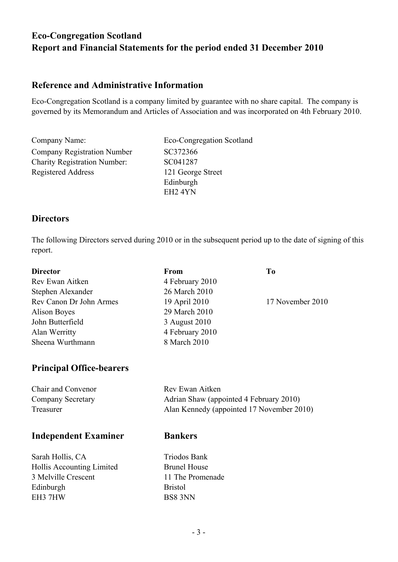### **Reference and Administrative Information**

Eco-Congregation Scotland is a company limited by guarantee with no share capital. The company is governed by its Memorandum and Articles of Association and was incorporated on 4th February 2010.

Company Name: Eco-Congregation Scotland Company Registration Number SC372366 Charity Registration Number: SC041287 Registered Address 121 George Street Edinburgh EH2 4YN

### **Directors**

The following Directors served during 2010 or in the subsequent period up to the date of signing of this report.

| <b>Director</b>         | <b>From</b>     | T <sub>0</sub>   |
|-------------------------|-----------------|------------------|
| Rev Ewan Aitken         | 4 February 2010 |                  |
| Stephen Alexander       | 26 March 2010   |                  |
| Rev Canon Dr John Armes | 19 April 2010   | 17 November 2010 |
| Alison Boyes            | 29 March 2010   |                  |
| John Butterfield        | 3 August 2010   |                  |
| Alan Werritty           | 4 February 2010 |                  |
| Sheena Wurthmann        | 8 March 2010    |                  |
|                         |                 |                  |

### **Principal Office-bearers**

| Chair and Convenor | Rev Ewan Aitken                           |
|--------------------|-------------------------------------------|
| Company Secretary  | Adrian Shaw (appointed 4 February 2010)   |
| Treasurer          | Alan Kennedy (appointed 17 November 2010) |

### **Independent Examiner Bankers**

Sarah Hollis, CA Triodos Bank Hollis Accounting Limited Brunel House 3 Melville Crescent 11 The Promenade Edinburgh Bristol EH3 7HW BS8 3NN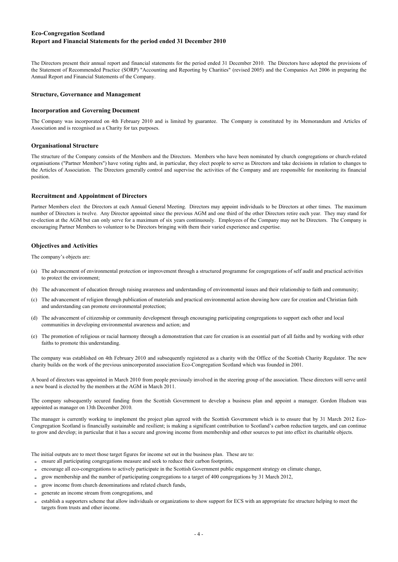The Directors present their annual report and financial statements for the period ended 31 December 2010. The Directors have adopted the provisions of the Statement of Recommended Practice (SORP) "Accounting and Reporting by Charities" (revised 2005) and the Companies Act 2006 in preparing the Annual Report and Financial Statements of the Company.

#### **Structure, Governance and Management**

#### **Incorporation and Governing Document**

The Company was incorporated on 4th February 2010 and is limited by guarantee. The Company is constituted by its Memorandum and Articles of Association and is recognised as a Charity for tax purposes.

#### **Organisational Structure**

The structure of the Company consists of the Members and the Directors. Members who have been nominated by church congregations or church-related organisations ("Partner Members") have voting rights and, in particular, they elect people to serve as Directors and take decisions in relation to changes to the Articles of Association. The Directors generally control and supervise the activities of the Company and are responsible for monitoring its financial position.

#### **Recruitment and Appointment of Directors**

Partner Members elect the Directors at each Annual General Meeting. Directors may appoint individuals to be Directors at other times. The maximum number of Directors is twelve. Any Director appointed since the previous AGM and one third of the other Directors retire each year. They may stand for re-election at the AGM but can only serve for a maximum of six years continuously. Employees of the Company may not be Directors. The Company is encouraging Partner Members to volunteer to be Directors bringing with them their varied experience and expertise.

#### **Objectives and Activities**

The company's objects are:

- (a) The advancement of environmental protection or improvement through a structured programme for congregations of self audit and practical activities to protect the environment;
- (b) The advancement of education through raising awareness and understanding of environmental issues and their relationship to faith and community;
- (c) The advancement of religion through publication of materials and practical environmental action showing how care for creation and Christian faith and understanding can promote environmental protection;
- (d) The advancement of citizenship or community development through encouraging participating congregations to support each other and local communities in developing environmental awareness and action; and
- (e) The promotion of religious or racial harmony through a demonstration that care for creation is an essential part of all faiths and by working with other faiths to promote this understanding.

The company was established on 4th February 2010 and subsequently registered as a charity with the Office of the Scottish Charity Regulator. The new charity builds on the work of the previous unincorporated association Eco-Congregation Scotland which was founded in 2001.

A board of directors was appointed in March 2010 from people previously involved in the steering group of the association. These directors will serve until a new board is elected by the members at the AGM in March 2011.

The company subsequently secured funding from the Scottish Government to develop a business plan and appoint a manager. Gordon Hudson was appointed as manager on 13th December 2010.

The manager is currently working to implement the project plan agreed with the Scottish Government which is to ensure that by 31 March 2012 Eco-Congregation Scotland is financially sustainable and resilient; is making a significant contribution to Scotland's carbon reduction targets, and can continue to grow and develop; in particular that it has a secure and growing income from membership and other sources to put into effect its charitable objects.

The initial outputs are to meet those target figures for income set out in the business plan. These are to:

- **-** ensure all participating congregations measure and seek to reduce their carbon footprints,
- **-** encourage all eco-congregations to actively participate in the Scottish Government public engagement strategy on climate change,
- grow membership and the number of participating congregations to a target of 400 congregations by 31 March 2012,
- grow income from church denominations and related church funds,
- generate an income stream from congregations, and
- establish a supporters scheme that allow individuals or organizations to show support for ECS with an appropriate fee structure helping to meet the targets from trusts and other income.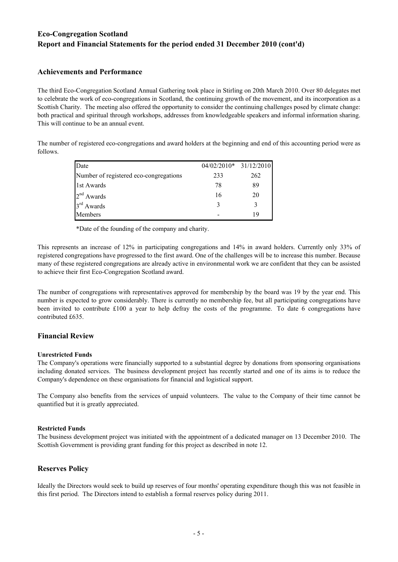### **Achievements and Performance**

The third Eco-Congregation Scotland Annual Gathering took place in Stirling on 20th March 2010. Over 80 delegates met to celebrate the work of eco-congregations in Scotland, the continuing growth of the movement, and its incorporation as a Scottish Charity. The meeting also offered the opportunity to consider the continuing challenges posed by climate change: both practical and spiritual through workshops, addresses from knowledgeable speakers and informal information sharing. This will continue to be an annual event.

The number of registered eco-congregations and award holders at the beginning and end of this accounting period were as follows.

| Date                                   | 04/02/2010* 31/12/2010 |     |
|----------------------------------------|------------------------|-----|
| Number of registered eco-congregations | 233                    | 262 |
| 1st Awards                             | 78                     | 89  |
| $2nd$ Awards                           | 16                     | 20  |
| $3rd$ Awards                           | 3                      |     |
| Members                                |                        | 19  |

\*Date of the founding of the company and charity.

This represents an increase of 12% in participating congregations and 14% in award holders. Currently only 33% of registered congregations have progressed to the first award. One of the challenges will be to increase this number. Because many of these registered congregations are already active in environmental work we are confident that they can be assisted to achieve their first Eco-Congregation Scotland award.

The number of congregations with representatives approved for membership by the board was 19 by the year end. This number is expected to grow considerably. There is currently no membership fee, but all participating congregations have been invited to contribute £100 a year to help defray the costs of the programme. To date 6 congregations have contributed £635.

### **Financial Review**

### **Unrestricted Funds**

The Company's operations were financially supported to a substantial degree by donations from sponsoring organisations including donated services. The business development project has recently started and one of its aims is to reduce the Company's dependence on these organisations for financial and logistical support.

The Company also benefits from the services of unpaid volunteers. The value to the Company of their time cannot be quantified but it is greatly appreciated.

### **Restricted Funds**

The business development project was initiated with the appointment of a dedicated manager on 13 December 2010. The Scottish Government is providing grant funding for this project as described in note 12.

### **Reserves Policy**

Ideally the Directors would seek to build up reserves of four months' operating expenditure though this was not feasible in this first period. The Directors intend to establish a formal reserves policy during 2011.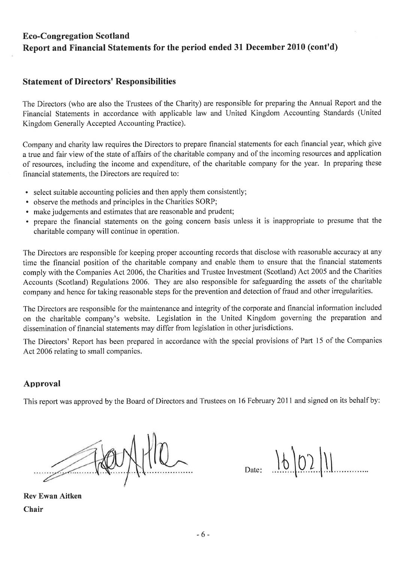### **Statement of Directors' Responsibilities**

The Directors (who are also the Trustees of the Charity) are responsible for preparing the Annual Report and the Financial Statements in accordance with applicable law and United Kingdom Accounting Standards (United Kingdom Generally Accepted Accounting Practice).

Company and charity law requires the Directors to prepare financial statements for each financial year, which give a true and fair view of the state of affairs of the charitable company and of the incoming resources and application of resources, including the income and expenditure, of the charitable company for the year. In preparing these financial statements, the Directors are required to:

- select suitable accounting policies and then apply them consistently;
- observe the methods and principles in the Charities SORP;
- make judgements and estimates that are reasonable and prudent;
- prepare the financial statements on the going concern basis unless it is inappropriate to presume that the charitable company will continue in operation.

The Directors are responsible for keeping proper accounting records that disclose with reasonable accuracy at any time the financial position of the charitable company and enable them to ensure that the financial statements comply with the Companies Act 2006, the Charities and Trustee Investment (Scotland) Act 2005 and the Charities Accounts (Scotland) Regulations 2006. They are also responsible for safeguarding the assets of the charitable company and hence for taking reasonable steps for the prevention and detection of fraud and other irregularities.

The Directors are responsible for the maintenance and integrity of the corporate and financial information included on the charitable company's website. Legislation in the United Kingdom governing the preparation and dissemination of financial statements may differ from legislation in other jurisdictions.

The Directors' Report has been prepared in accordance with the special provisions of Part 15 of the Companies Act 2006 relating to small companies.

### Approval

This report was approved by the Board of Directors and Trustees on 16 February 2011 and signed on its behalf by:

 $1602$ 

**Rev Ewan Aitken** Chair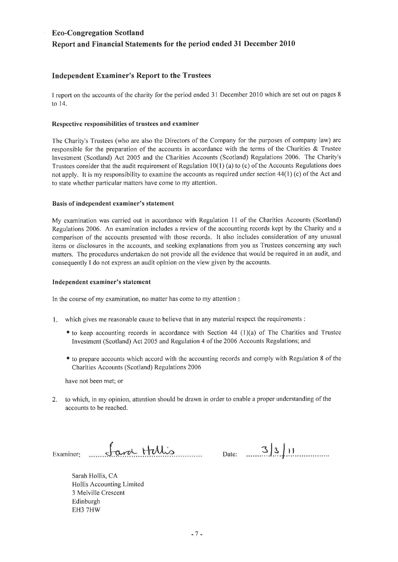### **Independent Examiner's Report to the Trustees**

I report on the accounts of the charity for the period ended 31 December 2010 which are set out on pages 8 to 14.

### Respective responsibilities of trustees and examiner

The Charity's Trustees (who are also the Directors of the Company for the purposes of company law) are responsible for the preparation of the accounts in accordance with the terms of the Charities & Trustee Investment (Scotland) Act 2005 and the Charities Accounts (Scotland) Regulations 2006. The Charity's Trustees consider that the audit requirement of Regulation  $10(1)$  (a) to (c) of the Accounts Regulations does not apply. It is my responsibility to examine the accounts as required under section 44(1) (c) of the Act and to state whether particular matters have come to my attention.

### Basis of independent examiner's statement

My examination was carried out in accordance with Regulation 11 of the Charities Accounts (Scotland) Regulations 2006. An examination includes a review of the accounting records kept by the Charity and a comparison of the accounts presented with those records. It also includes consideration of any unusual items or disclosures in the accounts, and seeking explanations from you as Trustees concerning any such matters. The procedures undertaken do not provide all the evidence that would be required in an audit, and consequently I do not express an audit opinion on the view given by the accounts.

### Independent examiner's statement

In the course of my examination, no matter has come to my attention:

- 1. which gives me reasonable cause to believe that in any material respect the requirements :
	- to keep accounting records in accordance with Section 44 (1)(a) of The Charities and Trustee Investment (Scotland) Act 2005 and Regulation 4 of the 2006 Accounts Regulations; and
	- to prepare accounts which accord with the accounting records and comply with Regulation 8 of the Charities Accounts (Scotland) Regulations 2006

have not been met; or

 $2.$ to which, in my opinion, attention should be drawn in order to enable a proper understanding of the accounts to be reached.

Sara Hillis Examiner:

Date:  $3|3|1|$ 

Sarah Hollis, CA Hollis Accounting Limited 3 Melville Crescent Edinburgh EH3 7HW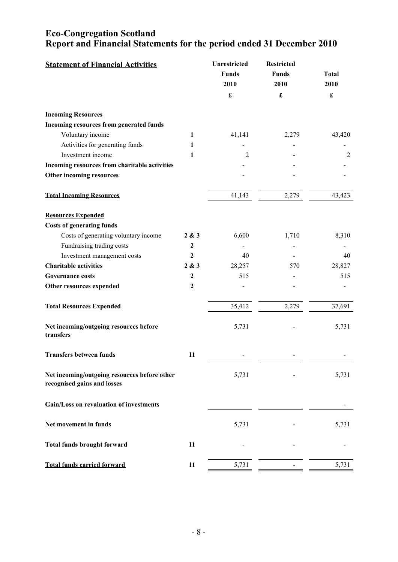| <b>Statement of Financial Activities</b>                                    |                  | <b>Unrestricted</b><br><b>Funds</b><br>2010<br>$\pmb{\mathfrak{L}}$ | <b>Restricted</b><br><b>Funds</b><br>2010<br>$\pmb{\mathfrak{L}}$ | <b>Total</b><br>2010<br>$\pmb{\mathfrak{L}}$ |
|-----------------------------------------------------------------------------|------------------|---------------------------------------------------------------------|-------------------------------------------------------------------|----------------------------------------------|
|                                                                             |                  |                                                                     |                                                                   |                                              |
| <b>Incoming Resources</b>                                                   |                  |                                                                     |                                                                   |                                              |
| Incoming resources from generated funds                                     |                  |                                                                     |                                                                   |                                              |
| Voluntary income                                                            | 1                | 41,141                                                              | 2,279                                                             | 43,420                                       |
| Activities for generating funds                                             | 1                |                                                                     |                                                                   |                                              |
| Investment income                                                           | 1                | $\overline{2}$                                                      |                                                                   | $\overline{2}$                               |
| Incoming resources from charitable activities                               |                  |                                                                     |                                                                   |                                              |
| Other incoming resources                                                    |                  |                                                                     |                                                                   |                                              |
| <b>Total Incoming Resources</b>                                             |                  | 41,143                                                              | 2,279                                                             | 43,423                                       |
| <b>Resources Expended</b>                                                   |                  |                                                                     |                                                                   |                                              |
| <b>Costs of generating funds</b>                                            |                  |                                                                     |                                                                   |                                              |
| Costs of generating voluntary income                                        | 2 & 3            | 6,600                                                               | 1,710                                                             | 8,310                                        |
| Fundraising trading costs                                                   | $\mathbf{2}$     |                                                                     |                                                                   |                                              |
| Investment management costs                                                 | $\boldsymbol{2}$ | 40                                                                  |                                                                   | 40                                           |
| <b>Charitable activities</b>                                                | 2 & 3            | 28,257                                                              | 570                                                               | 28,827                                       |
| <b>Governance costs</b>                                                     | $\boldsymbol{2}$ | 515                                                                 |                                                                   | 515                                          |
| Other resources expended                                                    | $\boldsymbol{2}$ |                                                                     |                                                                   |                                              |
| <b>Total Resources Expended</b>                                             |                  | 35,412                                                              | 2,279                                                             | 37,691                                       |
| Net incoming/outgoing resources before<br>transfers                         |                  | 5,731                                                               |                                                                   | 5,731                                        |
| <b>Transfers between funds</b>                                              | 11               |                                                                     |                                                                   |                                              |
| Net incoming/outgoing resources before other<br>recognised gains and losses |                  | 5,731                                                               |                                                                   | 5,731                                        |
| Gain/Loss on revaluation of investments                                     |                  |                                                                     |                                                                   |                                              |
| Net movement in funds                                                       |                  | 5,731                                                               |                                                                   | 5,731                                        |
| <b>Total funds brought forward</b>                                          | 11               |                                                                     |                                                                   |                                              |
| <b>Total funds carried forward</b>                                          | 11               | 5,731                                                               |                                                                   | 5,731                                        |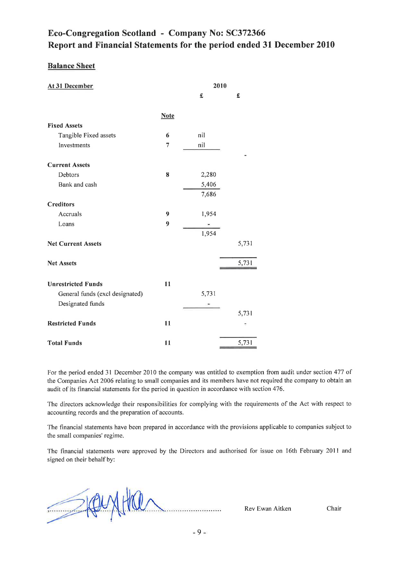### Eco-Congregation Scotland - Company No: SC372366 Report and Financial Statements for the period ended 31 December 2010

### **Balance Sheet**

| At 31 December                  |                  | 2010  |       |
|---------------------------------|------------------|-------|-------|
|                                 |                  | £     | £     |
|                                 |                  |       |       |
|                                 | <b>Note</b>      |       |       |
| <b>Fixed Assets</b>             |                  |       |       |
| Tangible Fixed assets           | 6                | nil   |       |
| Investments                     | 7                | nil   |       |
| <b>Current Assets</b>           |                  |       |       |
| Debtors                         | 8                | 2,280 |       |
| Bank and cash                   |                  | 5,406 |       |
|                                 |                  | 7,686 |       |
| <b>Creditors</b>                |                  |       |       |
| Accruals                        | $\boldsymbol{9}$ | 1,954 |       |
| Loans                           | 9                |       |       |
|                                 |                  | 1,954 |       |
| <b>Net Current Assets</b>       |                  |       | 5,731 |
|                                 |                  |       |       |
| <b>Net Assets</b>               |                  |       | 5,731 |
|                                 |                  |       |       |
| <b>Unrestricted Funds</b>       | 11               |       |       |
| General funds (excl designated) |                  | 5,731 |       |
| Designated funds                |                  |       |       |
|                                 |                  |       | 5,731 |
| <b>Restricted Funds</b>         | 11               |       |       |
|                                 |                  |       |       |
| <b>Total Funds</b>              | 11               |       | 5,731 |

For the period ended 31 December 2010 the company was entitled to exemption from audit under section 477 of the Companies Act 2006 relating to small companies and its members have not required the company to obtain an audit of its financial statements for the period in question in accordance with section 476.

The directors acknowledge their responsibilities for complying with the requirements of the Act with respect to accounting records and the preparation of accounts.

The financial statements have been prepared in accordance with the provisions applicable to companies subject to the small companies' regime.

The financial statements were approved by the Directors and authorised for issue on 16th February 2011 and signed on their behalf by:

SIQUAT Rev Ewan Aitken

Chair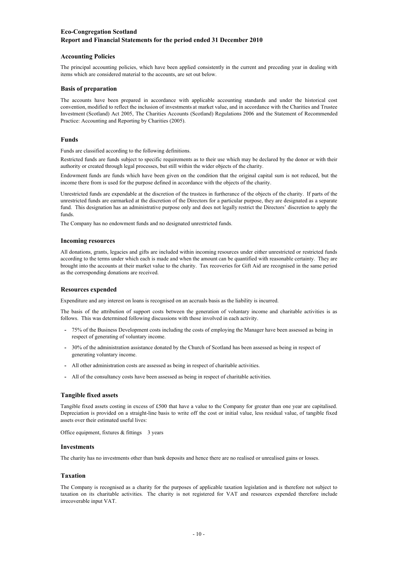### **Accounting Policies**

The principal accounting policies, which have been applied consistently in the current and preceding year in dealing with items which are considered material to the accounts, are set out below.

### **Basis of preparation**

The accounts have been prepared in accordance with applicable accounting standards and under the historical cost convention, modified to reflect the inclusion of investments at market value, and in accordance with the Charities and Trustee Investment (Scotland) Act 2005, The Charities Accounts (Scotland) Regulations 2006 and the Statement of Recommended Practice: Accounting and Reporting by Charities (2005).

### **Funds**

Funds are classified according to the following definitions.

Restricted funds are funds subject to specific requirements as to their use which may be declared by the donor or with their authority or created through legal processes, but still within the wider objects of the charity.

Endowment funds are funds which have been given on the condition that the original capital sum is not reduced, but the income there from is used for the purpose defined in accordance with the objects of the charity.

Unrestricted funds are expendable at the discretion of the trustees in furtherance of the objects of the charity. If parts of the unrestricted funds are earmarked at the discretion of the Directors for a particular purpose, they are designated as a separate fund. This designation has an administrative purpose only and does not legally restrict the Directors' discretion to apply the funds.

The Company has no endowment funds and no designated unrestricted funds.

### **Incoming resources**

All donations, grants, legacies and gifts are included within incoming resources under either unrestricted or restricted funds according to the terms under which each is made and when the amount can be quantified with reasonable certainty. They are brought into the accounts at their market value to the charity. Tax recoveries for Gift Aid are recognised in the same period as the corresponding donations are received.

### **Resources expended**

Expenditure and any interest on loans is recognised on an accruals basis as the liability is incurred.

The basis of the attribution of support costs between the generation of voluntary income and charitable activities is as follows. This was determined following discussions with those involved in each activity.

- **-** 75% of the Business Development costs including the costs of employing the Manager have been assessed as being in respect of generating of voluntary income.
- **-** 30% of the administration assistance donated by the Church of Scotland has been assessed as being in respect of generating voluntary income.
- **-** All other administration costs are assessed as being in respect of charitable activities.
- **-** All of the consultancy costs have been assessed as being in respect of charitable activities.

### **Tangible fixed assets**

Tangible fixed assets costing in excess of £500 that have a value to the Company for greater than one year are capitalised. Depreciation is provided on a straight-line basis to write off the cost or initial value, less residual value, of tangible fixed assets over their estimated useful lives:

Office equipment, fixtures & fittings 3 years

#### **Investments**

The charity has no investments other than bank deposits and hence there are no realised or unrealised gains or losses.

### **Taxation**

The Company is recognised as a charity for the purposes of applicable taxation legislation and is therefore not subject to taxation on its charitable activities. The charity is not registered for VAT and resources expended therefore include irrecoverable input VAT.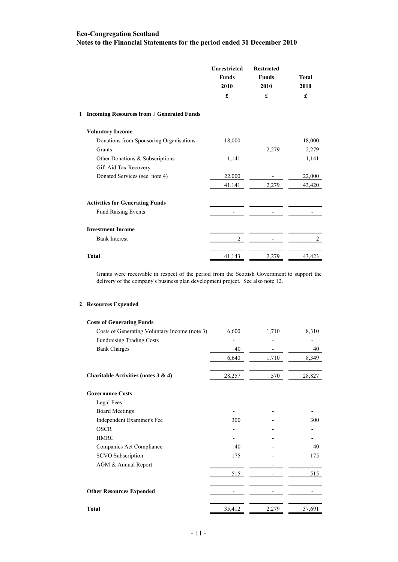### **Notes to the Financial Statements for the period ended 31 December 2010 Eco-Congregation Scotland**

|                                           | <b>Unrestricted</b><br><b>Funds</b><br>2010<br>£ | <b>Restricted</b><br><b>Funds</b><br>2010<br>£ | <b>Total</b><br>2010<br>£ |
|-------------------------------------------|--------------------------------------------------|------------------------------------------------|---------------------------|
| 1 Incoming Resources from Generated Funds |                                                  |                                                |                           |
| <b>Voluntary Income</b>                   |                                                  |                                                |                           |
| Donations from Sponsoring Organisations   | 18,000                                           |                                                | 18,000                    |
| Grants                                    |                                                  | 2,279                                          | 2,279                     |
| Other Donations & Subscriptions           | 1,141                                            |                                                | 1,141                     |
| Gift Aid Tax Recovery                     |                                                  |                                                |                           |
| Donated Services (see note 4)             | 22,000                                           |                                                | 22,000                    |
|                                           | 41,141                                           | 2,279                                          | 43,420                    |
| <b>Activities for Generating Funds</b>    |                                                  |                                                |                           |
| <b>Fund Raising Events</b>                |                                                  |                                                |                           |
| <b>Investment Income</b>                  |                                                  |                                                |                           |
| <b>Bank Interest</b>                      | 2                                                |                                                | 2                         |
| <b>Total</b>                              | 41,143                                           | 2,279                                          | 43,423                    |

Grants were receivable in respect of the period from the Scottish Government to support the delivery of the company's business plan development project. See also note 12.

### **2 Resources Expended**

| <b>Costs of Generating Funds</b>              |        |       |        |
|-----------------------------------------------|--------|-------|--------|
| Costs of Generating Voluntary Income (note 3) | 6,600  | 1,710 | 8,310  |
| <b>Fundraising Trading Costs</b>              |        |       |        |
| <b>Bank Charges</b>                           | 40     |       | 40     |
|                                               | 6,640  | 1,710 | 8,349  |
| Charitable Activities (notes $3 \& 4$ )       | 28,257 | 570   | 28,827 |
| <b>Governance Costs</b>                       |        |       |        |
| Legal Fees                                    |        |       |        |
| <b>Board Meetings</b>                         |        |       |        |
| Independent Examiner's Fee                    | 300    |       | 300    |
| <b>OSCR</b>                                   |        |       |        |
| <b>HMRC</b>                                   |        |       |        |
| Companies Act Compliance                      | 40     |       | 40     |
| SCVO Subscription                             | 175    |       | 175    |
| AGM & Annual Report                           |        |       |        |
|                                               | 515    |       | 515    |
| <b>Other Resources Expended</b>               |        |       |        |
| Total                                         | 35,412 | 2,279 | 37,691 |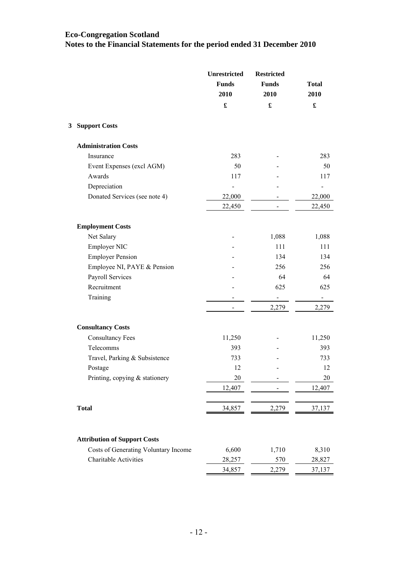**Notes to the Financial Statements for the period ended 31 December 2010**

|                                      | <b>Unrestricted</b><br><b>Funds</b><br>2010 | <b>Restricted</b><br><b>Funds</b><br>2010 | <b>Total</b><br>2010 |
|--------------------------------------|---------------------------------------------|-------------------------------------------|----------------------|
|                                      | $\pmb{\mathfrak{L}}$                        | $\pmb{\mathfrak{L}}$                      | $\pmb{\mathfrak{L}}$ |
| <b>Support Costs</b><br>3            |                                             |                                           |                      |
| <b>Administration Costs</b>          |                                             |                                           |                      |
| Insurance                            | 283                                         |                                           | 283                  |
| Event Expenses (excl AGM)            | 50                                          |                                           | 50                   |
| Awards                               | 117                                         |                                           | 117                  |
| Depreciation                         | $\frac{1}{2}$                               |                                           | $\frac{1}{2}$        |
| Donated Services (see note 4)        | 22,000                                      |                                           | 22,000               |
|                                      | 22,450                                      |                                           | 22,450               |
| <b>Employment Costs</b>              |                                             |                                           |                      |
| Net Salary                           |                                             | 1,088                                     | 1,088                |
| Employer NIC                         |                                             | 111                                       | 111                  |
| <b>Employer Pension</b>              |                                             | 134                                       | 134                  |
| Employee NI, PAYE & Pension          |                                             | 256                                       | 256                  |
| Payroll Services                     |                                             | 64                                        | 64                   |
| Recruitment                          |                                             | 625                                       | 625                  |
| Training                             |                                             | $\blacksquare$                            | $\sim 100$           |
|                                      |                                             | 2,279                                     | 2,279                |
| <b>Consultancy Costs</b>             |                                             |                                           |                      |
| <b>Consultancy Fees</b>              | 11,250                                      |                                           | 11,250               |
| Telecomms                            | 393                                         |                                           | 393                  |
| Travel, Parking & Subsistence        | 733                                         |                                           | 733                  |
| Postage                              | 12                                          |                                           | 12                   |
| Printing, copying & stationery       | 20                                          |                                           | 20                   |
|                                      | 12,407                                      |                                           | 12,407               |
|                                      |                                             |                                           |                      |
| <b>Total</b>                         | 34,857                                      | 2,279                                     | 37,137               |
|                                      |                                             |                                           |                      |
| <b>Attribution of Support Costs</b>  |                                             |                                           |                      |
| Costs of Generating Voluntary Income | 6,600                                       | 1,710                                     | 8,310                |
| Charitable Activities                | 28,257                                      | 570                                       | 28,827               |
|                                      | 34,857                                      | 2,279                                     | 37,137               |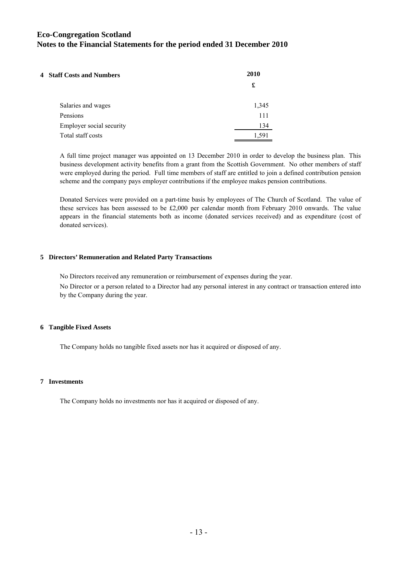| 4 Staff Costs and Numbers | 2010  |
|---------------------------|-------|
|                           | £     |
| Salaries and wages        | 1,345 |
| Pensions                  | 111   |
| Employer social security  | 134   |
| Total staff costs         | 1.591 |

A full time project manager was appointed on 13 December 2010 in order to develop the business plan. This business development activity benefits from a grant from the Scottish Government. No other members of staff were employed during the period. Full time members of staff are entitled to join a defined contribution pension scheme and the company pays employer contributions if the employee makes pension contributions.

Donated Services were provided on a part-time basis by employees of The Church of Scotland. The value of these services has been assessed to be £2,000 per calendar month from February 2010 onwards. The value appears in the financial statements both as income (donated services received) and as expenditure (cost of donated services).

### **5 Directors' Remuneration and Related Party Transactions**

No Directors received any remuneration or reimbursement of expenses during the year.

No Director or a person related to a Director had any personal interest in any contract or transaction entered into by the Company during the year.

### **6 Tangible Fixed Assets**

The Company holds no tangible fixed assets nor has it acquired or disposed of any.

### **7 Investments**

The Company holds no investments nor has it acquired or disposed of any.